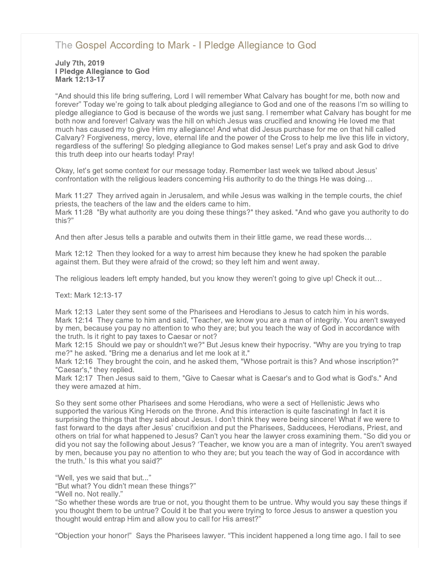# [The Gospel According to Mark - I Pledge Allegiance to God](http://northshorechurch.net/resources/sermons/sermon-notes/457-the-gospel-according-to-mark-i-pledge-allegiance-to-god)

#### July 7th, 2019 I Pledge Allegiance to God Mark 12:13-17

"And should this life bring suffering, Lord I will remember What Calvary has bought for me, both now and forever" Today we're going to talk about pledging allegiance to God and one of the reasons I'm so willing to pledge allegiance to God is because of the words we just sang. I remember what Calvary has bought for me both now and forever! Calvary was the hill on which Jesus was crucified and knowing He loved me that much has caused my to give Him my allegiance! And what did Jesus purchase for me on that hill called Calvary? Forgiveness, mercy, love, eternal life and the power of the Cross to help me live this life in victory, regardless of the suffering! So pledging allegiance to God makes sense! Let's pray and ask God to drive this truth deep into our hearts today! Pray!

Okay, let's get some context for our message today. Remember last week we talked about Jesus' confrontation with the religious leaders concerning His authority to do the things He was doing…

Mark 11:27 They arrived again in Jerusalem, and while Jesus was walking in the temple courts, the chief priests, the teachers of the law and the elders came to him.

Mark 11:28 "By what authority are you doing these things?" they asked. "And who gave you authority to do this?"

And then after Jesus tells a parable and outwits them in their little game, we read these words…

Mark 12:12 Then they looked for a way to arrest him because they knew he had spoken the parable against them. But they were afraid of the crowd; so they left him and went away.

The religious leaders left empty handed, but you know they weren't going to give up! Check it out...

Text: Mark 12:13-17

Mark 12:13 Later they sent some of the Pharisees and Herodians to Jesus to catch him in his words. Mark 12:14 They came to him and said, "Teacher, we know you are a man of integrity. You aren't swayed by men, because you pay no attention to who they are; but you teach the way of God in accordance with the truth. Is it right to pay taxes to Caesar or not?

Mark 12:15 Should we pay or shouldn't we?" But Jesus knew their hypocrisy. "Why are you trying to trap me?" he asked. "Bring me a denarius and let me look at it."

Mark 12:16 They brought the coin, and he asked them, "Whose portrait is this? And whose inscription?" "Caesar's," they replied.

Mark 12:17 Then Jesus said to them, "Give to Caesar what is Caesar's and to God what is God's." And they were amazed at him.

So they sent some other Pharisees and some Herodians, who were a sect of Hellenistic Jews who supported the various King Herods on the throne. And this interaction is quite fascinating! In fact it is surprising the things that they said about Jesus. I don't think they were being sincere! What if we were to fast forward to the days after Jesus' crucifixion and put the Pharisees, Sadducees, Herodians, Priest, and others on trial for what happened to Jesus? Can't you hear the lawyer cross examining them. "So did you or did you not say the following about Jesus? 'Teacher, we know you are a man of integrity. You aren't swayed by men, because you pay no attention to who they are; but you teach the way of God in accordance with the truth.' Is this what you said?"

"Well, yes we said that but..."

"But what? You didn't mean these things?"

"Well no. Not really."

"So whether these words are true or not, you thought them to be untrue. Why would you say these things if you thought them to be untrue? Could it be that you were trying to force Jesus to answer a question you thought would entrap Him and allow you to call for His arrest?"

"Objection your honor!" Says the Pharisees lawyer. "This incident happened a long time ago. I fail to see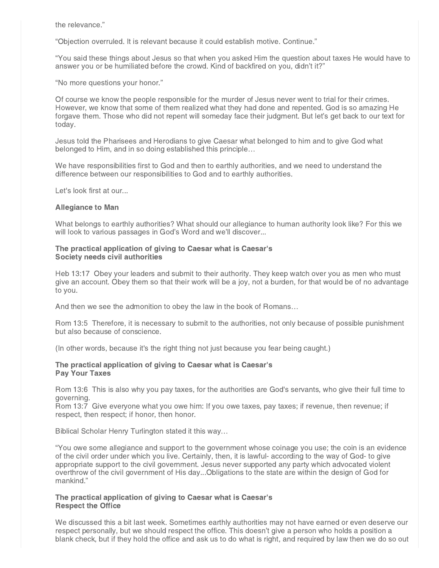the relevance."

"Objection overruled. It is relevant because it could establish motive. Continue."

"You said these things about Jesus so that when you asked Him the question about taxes He would have to answer you or be humiliated before the crowd. Kind of backfired on you, didn't it?"

"No more questions your honor."

Of course we know the people responsible for the murder of Jesus never went to trial for their crimes. However, we know that some of them realized what they had done and repented. God is so amazing He forgave them. Those who did not repent will someday face their judgment. But let's get back to our text for today.

Jesus told the Pharisees and Herodians to give Caesar what belonged to him and to give God what belonged to Him, and in so doing established this principle…

We have responsibilities first to God and then to earthly authorities, and we need to understand the difference between our responsibilities to God and to earthly authorities.

Let's look first at our...

#### Allegiance to Man

What belongs to earthly authorities? What should our allegiance to human authority look like? For this we will look to various passages in God's Word and we'll discover...

#### The practical application of giving to Caesar what is Caesar's Society needs civil authorities

Heb 13:17 Obey your leaders and submit to their authority. They keep watch over you as men who must give an account. Obey them so that their work will be a joy, not a burden, for that would be of no advantage to you.

And then we see the admonition to obey the law in the book of Romans…

Rom 13:5 Therefore, it is necessary to submit to the authorities, not only because of possible punishment but also because of conscience.

(In other words, because it's the right thing not just because you fear being caught.)

## The practical application of giving to Caesar what is Caesar's Pay Your Taxes

Rom 13:6 This is also why you pay taxes, for the authorities are God's servants, who give their full time to governing.

Rom 13:7 Give everyone what you owe him: If you owe taxes, pay taxes; if revenue, then revenue; if respect, then respect; if honor, then honor.

Biblical Scholar Henry Turlington stated it this way…

"You owe some allegiance and support to the government whose coinage you use; the coin is an evidence of the civil order under which you live. Certainly, then, it is lawful- according to the way of God- to give appropriate support to the civil government. Jesus never supported any party which advocated violent overthrow of the civil government of His day...Obligations to the state are within the design of God for mankind."

## The practical application of giving to Caesar what is Caesar's Respect the Office

We discussed this a bit last week. Sometimes earthly authorities may not have earned or even deserve our respect personally, but we should respect the office. This doesn't give a person who holds a position a blank check, but if they hold the office and ask us to do what is right, and required by law then we do so out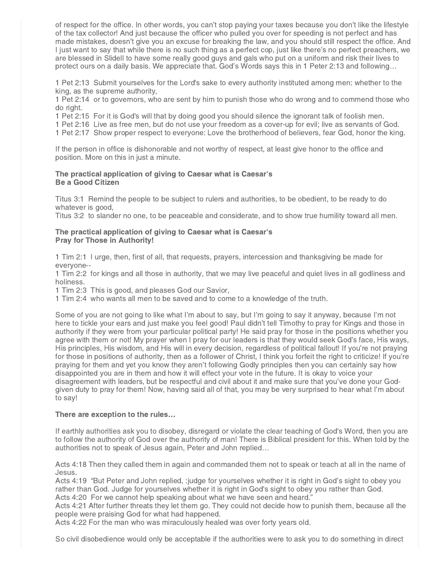of respect for the office. In other words, you can't stop paying your taxes because you don't like the lifestyle of the tax collector! And just because the officer who pulled you over for speeding is not perfect and has made mistakes, doesn't give you an excuse for breaking the law, and you should still respect the office. And I just want to say that while there is no such thing as a perfect cop, just like there's no perfect preachers, we are blessed in Slidell to have some really good guys and gals who put on a uniform and risk their lives to protect ours on a daily basis. We appreciate that. God's Words says this in 1 Peter 2:13 and following…

1 Pet 2:13 Submit yourselves for the Lord's sake to every authority instituted among men: whether to the king, as the supreme authority,

1 Pet 2:14 or to governors, who are sent by him to punish those who do wrong and to commend those who do right.

1 Pet 2:15 For it is God's will that by doing good you should silence the ignorant talk of foolish men.

1 Pet 2:16 Live as free men, but do not use your freedom as a cover-up for evil; live as servants of God.

1 Pet 2:17 Show proper respect to everyone: Love the brotherhood of believers, fear God, honor the king.

If the person in office is dishonorable and not worthy of respect, at least give honor to the office and position. More on this in just a minute.

## The practical application of giving to Caesar what is Caesar's Be a Good Citizen

Titus 3:1 Remind the people to be subject to rulers and authorities, to be obedient, to be ready to do whatever is good,

Titus 3:2 to slander no one, to be peaceable and considerate, and to show true humility toward all men.

#### The practical application of giving to Caesar what is Caesar's Pray for Those in Authority!

1 Tim 2:1 I urge, then, first of all, that requests, prayers, intercession and thanksgiving be made for everyone--

1 Tim 2:2 for kings and all those in authority, that we may live peaceful and quiet lives in all godliness and holiness.

1 Tim 2:3 This is good, and pleases God our Savior,

1 Tim 2:4 who wants all men to be saved and to come to a knowledge of the truth.

Some of you are not going to like what I'm about to say, but I'm going to say it anyway, because I'm not here to tickle your ears and just make you feel good! Paul didn't tell Timothy to pray for Kings and those in authority if they were from your particular political party! He said pray for those in the positions whether you agree with them or not! My prayer when I pray for our leaders is that they would seek God's face, His ways, His principles, His wisdom, and His will in every decision, regardless of political fallout! If you're not praying for those in positions of authority, then as a follower of Christ, I think you forfeit the right to criticize! If you're praying for them and yet you know they aren't following Godly principles then you can certainly say how disappointed you are in them and how it will effect your vote in the future. It is okay to voice your disagreement with leaders, but be respectful and civil about it and make sure that you've done your Godgiven duty to pray for them! Now, having said all of that, you may be very surprised to hear what I'm about to say!

## There are exception to the rules…

If earthly authorities ask you to disobey, disregard or violate the clear teaching of God's Word, then you are to follow the authority of God over the authority of man! There is Biblical president for this. When told by the authorities not to speak of Jesus again, Peter and John replied…

Acts 4:18 Then they called them in again and commanded them not to speak or teach at all in the name of Jesus.

Acts 4:19 "But Peter and John replied, :judge for yourselves whether it is right in God's sight to obey you rather than God. Judge for yourselves whether it is right in God's sight to obey you rather than God. Acts 4:20 For we cannot help speaking about what we have seen and heard."

Acts 4:21 After further threats they let them go. They could not decide how to punish them, because all the people were praising God for what had happened.

Acts 4:22 For the man who was miraculously healed was over forty years old.

So civil disobedience would only be acceptable if the authorities were to ask you to do something in direct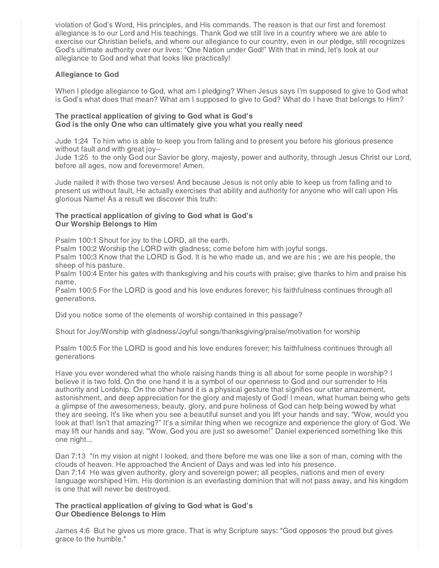violation of God's Word, His principles, and His commands. The reason is that our first and foremost allegiance is to our Lord and His teachings. Thank God we still live in a country where we are able to exercise our Christian beliefs, and where our allegiance to our country, even in our pledge, still recognizes God's ultimate authority over our lives: "One Nation under God!" With that in mind, let's look at our allegiance to God and what that looks like practically!

# Allegiance to God

When I pledge allegiance to God, what am I pledging? When Jesus says I'm supposed to give to God what is God's what does that mean? What am I supposed to give to God? What do I have that belongs to Him?

## The practical application of giving to God what is God's God is the only One who can ultimately give you what you really need

Jude 1:24 To him who is able to keep you from falling and to present you before his glorious presence without fault and with great joy--

Jude 1:25 to the only God our Savior be glory, majesty, power and authority, through Jesus Christ our Lord, before all ages, now and forevermore! Amen.

Jude nailed it with those two verses! And because Jesus is not only able to keep us from falling and to present us without fault, He actually exercises that ability and authority for anyone who will call upon His glorious Name! As a result we discover this truth:

## The practical application of giving to God what is God's Our Worship Belongs to Him

Psalm 100:1 Shout for joy to the LORD, all the earth.

Psalm 100:2 Worship the LORD with gladness; come before him with joyful songs.

Psalm 100:3 Know that the LORD is God. It is he who made us, and we are his ; we are his people, the sheep of his pasture.

Psalm 100:4 Enter his gates with thanksgiving and his courts with praise; give thanks to him and praise his name.

Psalm 100:5 For the LORD is good and his love endures forever; his faithfulness continues through all generations.

Did you notice some of the elements of worship contained in this passage?

Shout for Joy/Worship with gladness/Joyful songs/thanksgiving/praise/motivation for worship

Psalm 100:5 For the LORD is good and his love endures forever; his faithfulness continues through all generations

Have you ever wondered what the whole raising hands thing is all about for some people in worship? I believe it is two fold. On the one hand it is a symbol of our openness to God and our surrender to His authority and Lordship. On the other hand it is a physical gesture that signifies our utter amazement, astonishment, and deep appreciation for the glory and majesty of God! I mean, what human being who gets a glimpse of the awesomeness, beauty, glory, and pure holiness of God can help being wowed by what they are seeing. It's like when you see a beautiful sunset and you lift your hands and say, "Wow, would you look at that! Isn't that amazing?" It's a similar thing when we recognize and experience the glory of God. We may lift our hands and say, "Wow, God you are just so awesome!" Daniel experienced something like this one night...

Dan 7:13 "In my vision at night I looked, and there before me was one like a son of man, coming with the clouds of heaven. He approached the Ancient of Days and was led into his presence. Dan 7:14 He was given authority, glory and sovereign power; all peoples, nations and men of every language worshiped Him. His dominion is an everlasting dominion that will not pass away, and his kingdom is one that will never be destroyed.

## The practical application of giving to God what is God's Our Obedience Belongs to Him

James 4:6 But he gives us more grace. That is why Scripture says: "God opposes the proud but gives grace to the humble."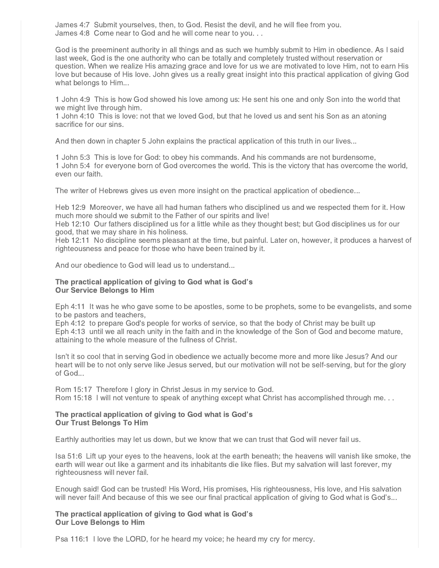James 4:7 Submit yourselves, then, to God. Resist the devil, and he will flee from you. James 4:8 Come near to God and he will come near to you. . .

God is the preeminent authority in all things and as such we humbly submit to Him in obedience. As I said last week, God is the one authority who can be totally and completely trusted without reservation or question. When we realize His amazing grace and love for us we are motivated to love Him, not to earn His love but because of His love. John gives us a really great insight into this practical application of giving God what belongs to Him...

1 John 4:9 This is how God showed his love among us: He sent his one and only Son into the world that we might live through him.

1 John 4:10 This is love: not that we loved God, but that he loved us and sent his Son as an atoning sacrifice for our sins.

And then down in chapter 5 John explains the practical application of this truth in our lives...

1 John 5:3 This is love for God: to obey his commands. And his commands are not burdensome, 1 John 5:4 for everyone born of God overcomes the world. This is the victory that has overcome the world, even our faith.

The writer of Hebrews gives us even more insight on the practical application of obedience...

Heb 12:9 Moreover, we have all had human fathers who disciplined us and we respected them for it. How much more should we submit to the Father of our spirits and live!

Heb 12:10 Our fathers disciplined us for a little while as they thought best; but God disciplines us for our good, that we may share in his holiness.

Heb 12:11 No discipline seems pleasant at the time, but painful. Later on, however, it produces a harvest of righteousness and peace for those who have been trained by it.

And our obedience to God will lead us to understand...

## The practical application of giving to God what is God's Our Service Belongs to Him

Eph 4:11 It was he who gave some to be apostles, some to be prophets, some to be evangelists, and some to be pastors and teachers,

Eph 4:12 to prepare God's people for works of service, so that the body of Christ may be built up Eph 4:13 until we all reach unity in the faith and in the knowledge of the Son of God and become mature, attaining to the whole measure of the fullness of Christ.

Isn't it so cool that in serving God in obedience we actually become more and more like Jesus? And our heart will be to not only serve like Jesus served, but our motivation will not be self-serving, but for the glory of God...

Rom 15:17 Therefore I glory in Christ Jesus in my service to God. Rom 15:18 I will not venture to speak of anything except what Christ has accomplished through me. . .

## The practical application of giving to God what is God's Our Trust Belongs To Him

Earthly authorities may let us down, but we know that we can trust that God will never fail us.

Isa 51:6 Lift up your eyes to the heavens, look at the earth beneath; the heavens will vanish like smoke, the earth will wear out like a garment and its inhabitants die like flies. But my salvation will last forever, my righteousness will never fail.

Enough said! God can be trusted! His Word, His promises, His righteousness, His love, and His salvation will never fail! And because of this we see our final practical application of giving to God what is God's...

## The practical application of giving to God what is God's Our Love Belongs to Him

Psa 116:1 I love the LORD, for he heard my voice; he heard my cry for mercy.